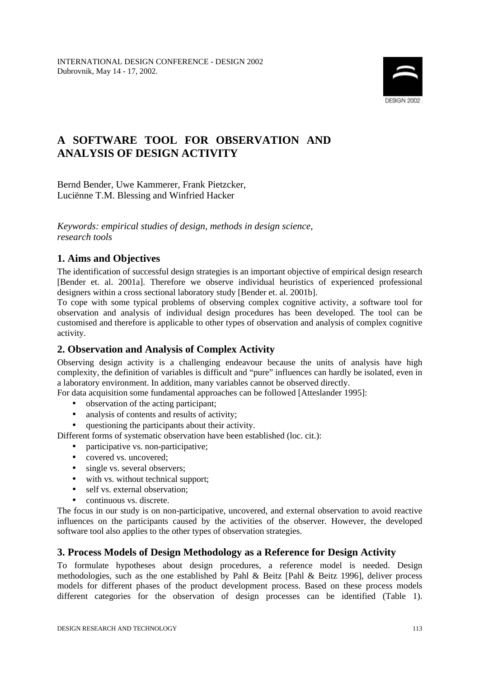

# **A SOFTWARE TOOL FOR OBSERVATION AND ANALYSIS OF DESIGN ACTIVITY**

Bernd Bender, Uwe Kammerer, Frank Pietzcker, Luciënne T.M. Blessing and Winfried Hacker

*Keywords: empirical studies of design, methods in design science, research tools*

## **1. Aims and Objectives**

The identification of successful design strategies is an important objective of empirical design research [Bender et. al. 2001a]. Therefore we observe individual heuristics of experienced professional designers within a cross sectional laboratory study [Bender et. al. 2001b].

To cope with some typical problems of observing complex cognitive activity, a software tool for observation and analysis of individual design procedures has been developed. The tool can be customised and therefore is applicable to other types of observation and analysis of complex cognitive activity.

## **2. Observation and Analysis of Complex Activity**

Observing design activity is a challenging endeavour because the units of analysis have high complexity, the definition of variables is difficult and "pure" influences can hardly be isolated, even in a laboratory environment. In addition, many variables cannot be observed directly.

For data acquisition some fundamental approaches can be followed [Atteslander 1995]:

- observation of the acting participant;
- analysis of contents and results of activity;
- questioning the participants about their activity.

Different forms of systematic observation have been established (loc. cit.):

- participative vs. non-participative:
- covered vs. uncovered;
- single vs. several observers;
- with vs. without technical support;
- self vs. external observation:
- continuous vs. discrete.

The focus in our study is on non-participative, uncovered, and external observation to avoid reactive influences on the participants caused by the activities of the observer. However, the developed software tool also applies to the other types of observation strategies.

## **3. Process Models of Design Methodology as a Reference for Design Activity**

To formulate hypotheses about design procedures, a reference model is needed. Design methodologies, such as the one established by Pahl & Beitz [Pahl & Beitz 1996], deliver process models for different phases of the product development process. Based on these process models different categories for the observation of design processes can be identified (Table 1).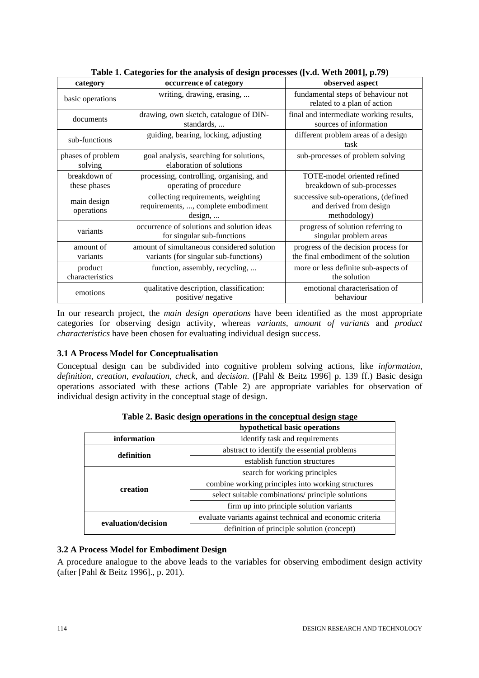| Table 1. Categories for the analysis of acsign processes (Fig. $n \cos \theta$ ), $n \sin 2\theta$ |                                                                                      |                                                                                |  |
|----------------------------------------------------------------------------------------------------|--------------------------------------------------------------------------------------|--------------------------------------------------------------------------------|--|
| category                                                                                           | occurrence of category                                                               | observed aspect                                                                |  |
| basic operations                                                                                   | writing, drawing, erasing,                                                           | fundamental steps of behaviour not<br>related to a plan of action              |  |
| documents                                                                                          | drawing, own sketch, catalogue of DIN-<br>standards,                                 | final and intermediate working results,<br>sources of information              |  |
| sub-functions                                                                                      | guiding, bearing, locking, adjusting                                                 | different problem areas of a design<br>task                                    |  |
| phases of problem<br>solving                                                                       | goal analysis, searching for solutions,<br>elaboration of solutions                  | sub-processes of problem solving                                               |  |
| breakdown of<br>these phases                                                                       | processing, controlling, organising, and<br>operating of procedure                   | TOTE-model oriented refined<br>breakdown of sub-processes                      |  |
| main design<br>operations                                                                          | collecting requirements, weighting<br>requirements, , complete embodiment<br>design, | successive sub-operations, (defined<br>and derived from design<br>methodology) |  |
| variants                                                                                           | occurrence of solutions and solution ideas<br>for singular sub-functions             | progress of solution referring to<br>singular problem areas                    |  |
| amount of<br>variants                                                                              | amount of simultaneous considered solution<br>variants (for singular sub-functions)  | progress of the decision process for<br>the final embodiment of the solution   |  |
| product<br>characteristics                                                                         | function, assembly, recycling,                                                       | more or less definite sub-aspects of<br>the solution                           |  |
| emotions                                                                                           | qualitative description, classification:<br>positive/ negative                       | emotional characterisation of<br>behaviour                                     |  |

**Table 1. Categories for the analysis of design processes ([v.d. Weth 2001], p.79)**

In our research project, the *main design operations* have been identified as the most appropriate categories for observing design activity, whereas *variants, amount of variants* and *product characteristics* have been chosen for evaluating individual design success.

## **3.1 A Process Model for Conceptualisation**

Conceptual design can be subdivided into cognitive problem solving actions, like *information*, *definition*, *creation*, *evaluation*, *check*, and *decision*. ([Pahl & Beitz 1996] p. 139 ff.) Basic design operations associated with these actions (Table 2) are appropriate variables for observation of individual design activity in the conceptual stage of design.

|                     | hypothetical basic operations                             |
|---------------------|-----------------------------------------------------------|
| information         | identify task and requirements                            |
| definition          | abstract to identify the essential problems               |
|                     | establish function structures                             |
|                     | search for working principles                             |
| creation            | combine working principles into working structures        |
|                     | select suitable combinations/ principle solutions         |
|                     | firm up into principle solution variants                  |
| evaluation/decision | evaluate variants against technical and economic criteria |
|                     | definition of principle solution (concept)                |

**Table 2. Basic design operations in the conceptual design stage**

## **3.2 A Process Model for Embodiment Design**

A procedure analogue to the above leads to the variables for observing embodiment design activity (after [Pahl & Beitz 1996]., p. 201).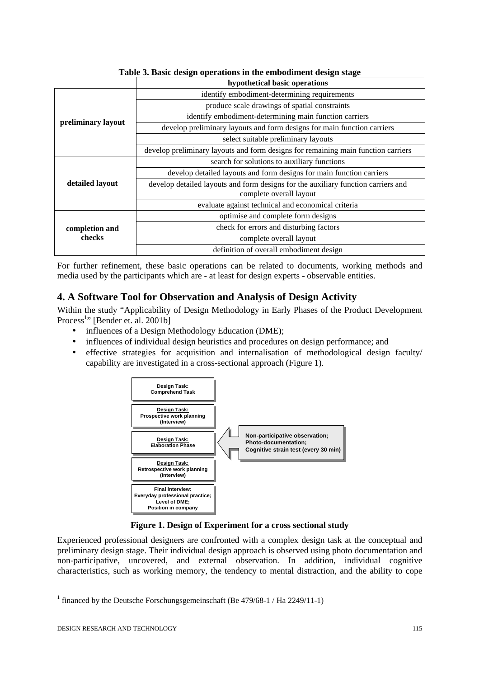|                    | hypothetical basic operations                                                     |  |
|--------------------|-----------------------------------------------------------------------------------|--|
| preliminary layout | identify embodiment-determining requirements                                      |  |
|                    | produce scale drawings of spatial constraints                                     |  |
|                    | identify embodiment-determining main function carriers                            |  |
|                    | develop preliminary layouts and form designs for main function carriers           |  |
|                    | select suitable preliminary layouts                                               |  |
|                    | develop preliminary layouts and form designs for remaining main function carriers |  |
| detailed layout    | search for solutions to auxiliary functions                                       |  |
|                    | develop detailed layouts and form designs for main function carriers              |  |
|                    | develop detailed layouts and form designs for the auxiliary function carriers and |  |
|                    | complete overall layout                                                           |  |
|                    | evaluate against technical and economical criteria                                |  |
| completion and     | optimise and complete form designs                                                |  |
|                    | check for errors and disturbing factors                                           |  |
| checks             | complete overall layout                                                           |  |
|                    | definition of overall embodiment design                                           |  |

**Table 3. Basic design operations in the embodiment design stage**

For further refinement, these basic operations can be related to documents, working methods and media used by the participants which are - at least for design experts - observable entities.

## **4. A Software Tool for Observation and Analysis of Design Activity**

Within the study "Applicability of Design Methodology in Early Phases of the Product Development Process<sup>1</sup>" [Bender et. al. 2001b]

- influences of a Design Methodology Education (DME);
- influences of individual design heuristics and procedures on design performance; and
- effective strategies for acquisition and internalisation of methodological design faculty/ capability are investigated in a cross-sectional approach (Figure 1).



**Figure 1. Design of Experiment for a cross sectional study**

Experienced professional designers are confronted with a complex design task at the conceptual and preliminary design stage. Their individual design approach is observed using photo documentation and non-participative, uncovered, and external observation. In addition, individual cognitive characteristics, such as working memory, the tendency to mental distraction, and the ability to cope

l

<sup>&</sup>lt;sup>1</sup> financed by the Deutsche Forschungsgemeinschaft (Be 479/68-1 / Ha 2249/11-1)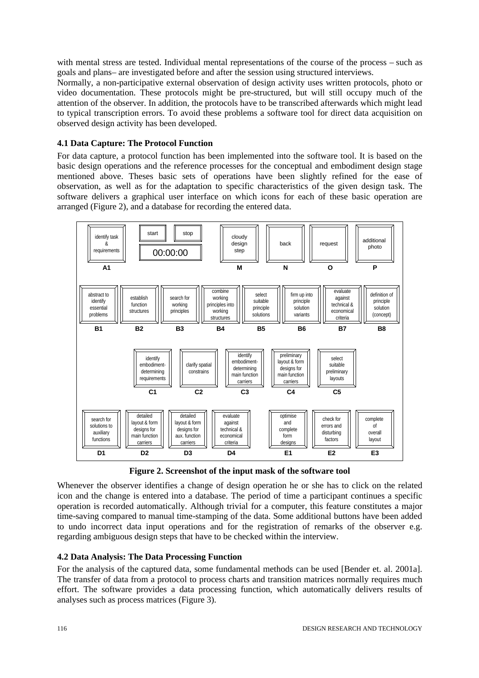with mental stress are tested. Individual mental representations of the course of the process – such as goals and plans– are investigated before and after the session using structured interviews.

Normally, a non-participative external observation of design activity uses written protocols, photo or video documentation. These protocols might be pre-structured, but will still occupy much of the attention of the observer. In addition, the protocols have to be transcribed afterwards which might lead to typical transcription errors. To avoid these problems a software tool for direct data acquisition on observed design activity has been developed.

#### **4.1 Data Capture: The Protocol Function**

For data capture, a protocol function has been implemented into the software tool. It is based on the basic design operations and the reference processes for the conceptual and embodiment design stage mentioned above. Theses basic sets of operations have been slightly refined for the ease of observation, as well as for the adaptation to specific characteristics of the given design task. The software delivers a graphical user interface on which icons for each of these basic operation are arranged (Figure 2), and a database for recording the entered data.



**Figure 2. Screenshot of the input mask of the software tool**

Whenever the observer identifies a change of design operation he or she has to click on the related icon and the change is entered into a database. The period of time a participant continues a specific operation is recorded automatically. Although trivial for a computer, this feature constitutes a major time-saving compared to manual time-stamping of the data. Some additional buttons have been added to undo incorrect data input operations and for the registration of remarks of the observer e.g. regarding ambiguous design steps that have to be checked within the interview.

#### **4.2 Data Analysis: The Data Processing Function**

For the analysis of the captured data, some fundamental methods can be used [Bender et. al. 2001a]. The transfer of data from a protocol to process charts and transition matrices normally requires much effort. The software provides a data processing function, which automatically delivers results of analyses such as process matrices (Figure 3).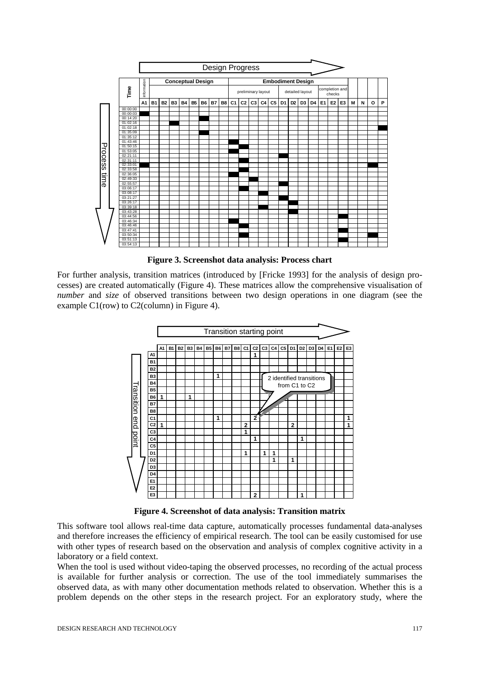

**Figure 3. Screenshot data analysis: Process chart**

For further analysis, transition matrices (introduced by [Fricke 1993] for the analysis of design processes) are created automatically (Figure 4). These matrices allow the comprehensive visualisation of *number* and *size* of observed transitions between two design operations in one diagram (see the example C1(row) to C2(column) in Figure 4).



**Figure 4. Screenshot of data analysis: Transition matrix**

This software tool allows real-time data capture, automatically processes fundamental data-analyses and therefore increases the efficiency of empirical research. The tool can be easily customised for use with other types of research based on the observation and analysis of complex cognitive activity in a laboratory or a field context.

When the tool is used without video-taping the observed processes, no recording of the actual process is available for further analysis or correction. The use of the tool immediately summarises the observed data, as with many other documentation methods related to observation. Whether this is a problem depends on the other steps in the research project. For an exploratory study, where the